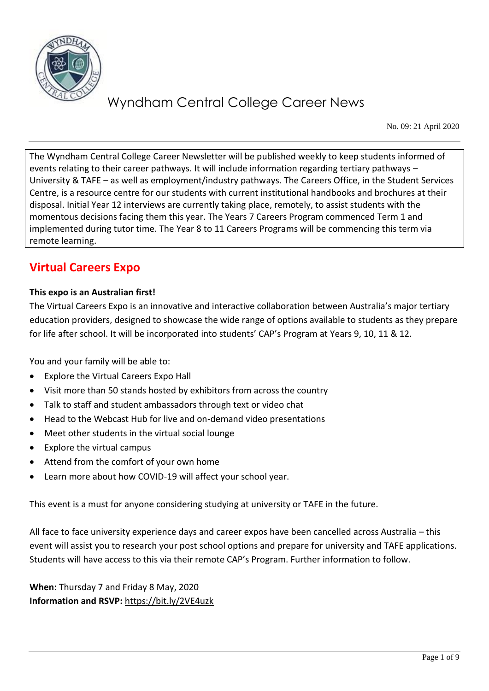

No. 09: 21 April 2020

The Wyndham Central College Career Newsletter will be published weekly to keep students informed of events relating to their career pathways. It will include information regarding tertiary pathways – University & TAFE – as well as employment/industry pathways. The Careers Office, in the Student Services Centre, is a resource centre for our students with current institutional handbooks and brochures at their disposal. Initial Year 12 interviews are currently taking place, remotely, to assist students with the momentous decisions facing them this year. The Years 7 Careers Program commenced Term 1 and implemented during tutor time. The Year 8 to 11 Careers Programs will be commencing this term via remote learning.

## **Virtual Careers Expo**

### **This expo is an Australian first!**

The Virtual Careers Expo is an innovative and interactive collaboration between Australia's major tertiary education providers, designed to showcase the wide range of options available to students as they prepare for life after school. It will be incorporated into students' CAP's Program at Years 9, 10, 11 & 12.

You and your family will be able to:

- Explore the Virtual Careers Expo Hall
- Visit more than 50 stands hosted by exhibitors from across the country
- Talk to staff and student ambassadors through text or video chat
- Head to the Webcast Hub for live and on-demand video presentations
- Meet other students in the virtual social lounge
- Explore the virtual campus
- Attend from the comfort of your own home
- Learn more about how COVID-19 will affect your school year.

This event is a must for anyone considering studying at university or TAFE in the future.

All face to face university experience days and career expos have been cancelled across Australia – this event will assist you to research your post school options and prepare for university and TAFE applications. Students will have access to this via their remote CAP's Program. Further information to follow.

**When:** Thursday 7 and Friday 8 May, 2020 **Information and RSVP:** <https://bit.ly/2VE4uzk>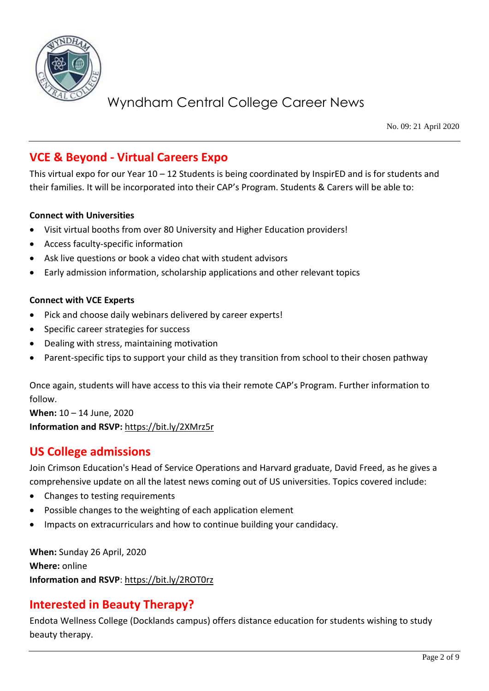

No. 09: 21 April 2020

## **VCE & Beyond - Virtual Careers Expo**

This virtual expo for our Year 10 – 12 Students is being coordinated by InspirED and is for students and their families. It will be incorporated into their CAP's Program. Students & Carers will be able to:

### **Connect with Universities**

- Visit virtual booths from over 80 University and Higher Education providers!
- Access faculty-specific information
- Ask live questions or book a video chat with student advisors
- Early admission information, scholarship applications and other relevant topics

### **Connect with VCE Experts**

- Pick and choose daily webinars delivered by career experts!
- Specific career strategies for success
- Dealing with stress, maintaining motivation
- Parent-specific tips to support your child as they transition from school to their chosen pathway

Once again, students will have access to this via their remote CAP's Program. Further information to follow.

**When:** 10 – 14 June, 2020 **Information and RSVP:** <https://bit.ly/2XMrz5r>

## **US College admissions**

Join Crimson Education's Head of Service Operations and Harvard graduate, David Freed, as he gives a comprehensive update on all the latest news coming out of US universities. Topics covered include:

- Changes to testing requirements
- Possible changes to the weighting of each application element
- Impacts on extracurriculars and how to continue building your candidacy.

**When:** Sunday 26 April, 2020 **Where:** online **Information and RSVP**:<https://bit.ly/2ROT0rz>

### **Interested in Beauty Therapy?**

Endota Wellness College (Docklands campus) offers distance education for students wishing to study beauty therapy.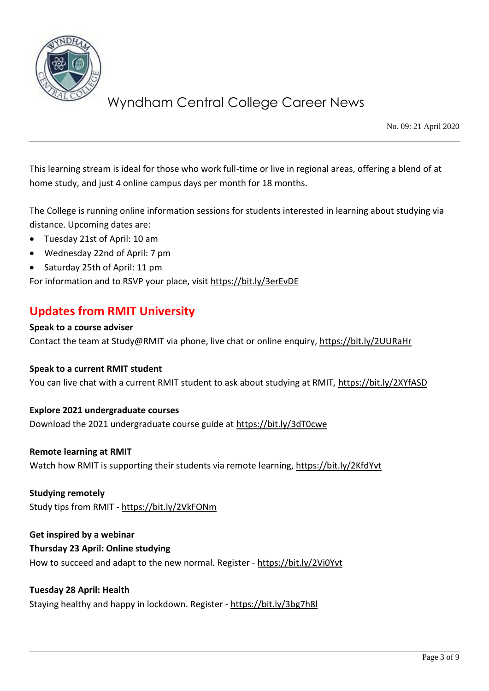

No. 09: 21 April 2020

This learning stream is ideal for those who work full-time or live in regional areas, offering a blend of at home study, and just 4 online campus days per month for 18 months.

The College is running online information sessions for students interested in learning about studying via distance. Upcoming dates are:

- Tuesday 21st of April: 10 am
- Wednesday 22nd of April: 7 pm
- Saturday 25th of April: 11 pm

For information and to RSVP your place, visit<https://bit.ly/3erEvDE>

### **Updates from RMIT University**

#### **Speak to a course adviser**

Contact the team at Study@RMIT via phone, live chat or online enquiry,<https://bit.ly/2UURaHr>

### **Speak to a current RMIT student**

You can live chat with a current RMIT student to ask about studying at RMIT,<https://bit.ly/2XYfASD>

### **Explore 2021 undergraduate courses**

Download the 2021 undergraduate course guide at<https://bit.ly/3dT0cwe>

#### **Remote learning at RMIT**

Watch how RMIT is supporting their students via remote learning,<https://bit.ly/2KfdYvt>

### **Studying remotely**

Study tips from RMIT - <https://bit.ly/2VkFONm>

### **Get inspired by a webinar**

### **Thursday 23 April: Online studying**

How to succeed and adapt to the new normal. Register - <https://bit.ly/2Vi0Yvt>

### **Tuesday 28 April: Health**

Staying healthy and happy in lockdown. Register - <https://bit.ly/3bg7h8l>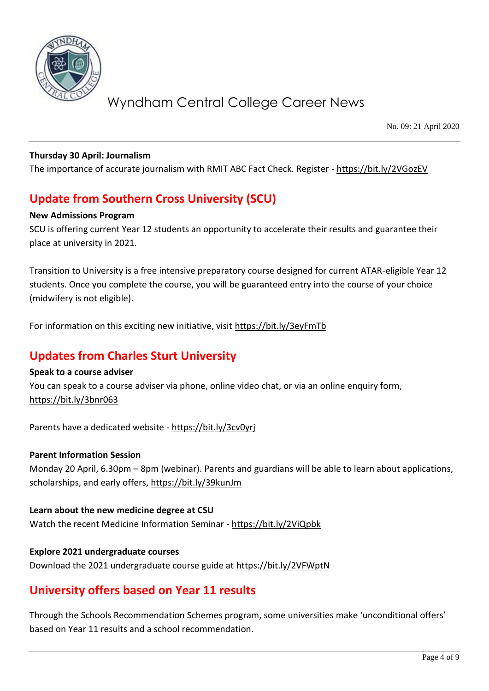

No. 09: 21 April 2020

### **Thursday 30 April: Journalism**

The importance of accurate journalism with RMIT ABC Fact Check. Register - <https://bit.ly/2VGozEV>

## **Update from Southern Cross University (SCU)**

### **New Admissions Program**

SCU is offering current Year 12 students an opportunity to accelerate their results and guarantee their place at university in 2021.

Transition to University is a free intensive preparatory course designed for current ATAR-eligible Year 12 students. Once you complete the course, you will be guaranteed entry into the course of your choice (midwifery is not eligible).

For information on this exciting new initiative, visit<https://bit.ly/3eyFmTb>

### **Updates from Charles Sturt University**

### **Speak to a course adviser**

You can speak to a course adviser via phone, online video chat, or via an online enquiry form, <https://bit.ly/3bnr063>

Parents have a dedicated website - <https://bit.ly/3cv0yrj>

### **Parent Information Session**

Monday 20 April, 6.30pm – 8pm (webinar). Parents and guardians will be able to learn about applications, scholarships, and early offers,<https://bit.ly/39kunJm>

**Learn about the new medicine degree at CSU** Watch the recent Medicine Information Seminar - <https://bit.ly/2ViQpbk>

### **Explore 2021 undergraduate courses**

Download the 2021 undergraduate course guide at<https://bit.ly/2VFWptN>

### **University offers based on Year 11 results**

Through the Schools Recommendation Schemes program, some universities make 'unconditional offers' based on Year 11 results and a school recommendation.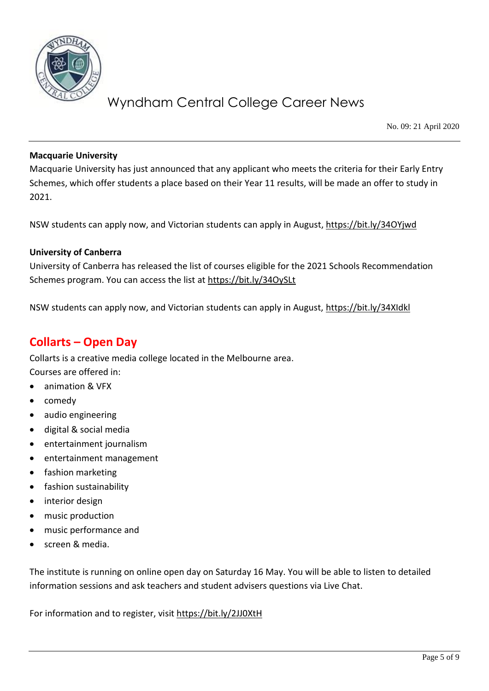

No. 09: 21 April 2020

### **Macquarie University**

Macquarie University has just announced that any applicant who meets the criteria for their Early Entry Schemes, which offer students a place based on their Year 11 results, will be made an offer to study in 2021.

NSW students can apply now, and Victorian students can apply in August,<https://bit.ly/34OYjwd>

### **University of Canberra**

University of Canberra has released the list of courses eligible for the 2021 Schools Recommendation Schemes program. You can access the list at<https://bit.ly/34OySLt>

NSW students can apply now, and Victorian students can apply in August,<https://bit.ly/34XIdkl>

### **Collarts – Open Day**

Collarts is a creative media college located in the Melbourne area.

Courses are offered in:

- animation & VFX
- comedy
- audio engineering
- digital & social media
- entertainment journalism
- entertainment management
- fashion marketing
- fashion sustainability
- interior design
- music production
- music performance and
- screen & media.

The institute is running on online open day on Saturday 16 May. You will be able to listen to detailed information sessions and ask teachers and student advisers questions via Live Chat.

For information and to register, visit<https://bit.ly/2JJ0XtH>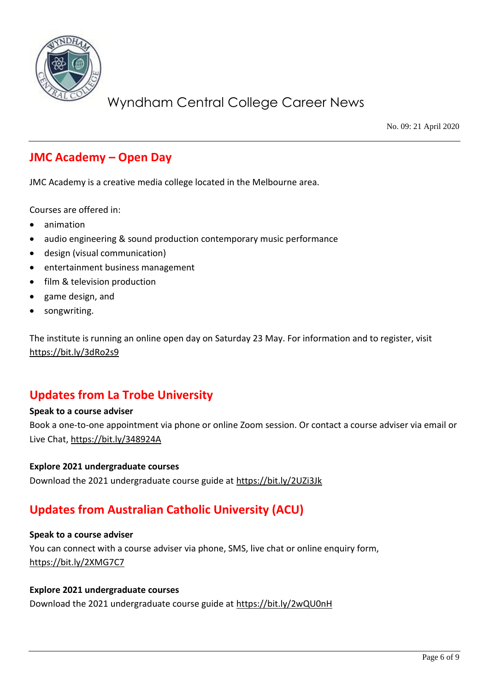

No. 09: 21 April 2020

## **JMC Academy – Open Day**

JMC Academy is a creative media college located in the Melbourne area.

Courses are offered in:

- animation
- audio engineering & sound production contemporary music performance
- design (visual communication)
- entertainment business management
- film & television production
- game design, and
- songwriting.

The institute is running an online open day on Saturday 23 May. For information and to register, visit <https://bit.ly/3dRo2s9>

## **Updates from La Trobe University**

### **Speak to a course adviser**

Book a one-to-one appointment via phone or online Zoom session. Or contact a course adviser via email or Live Chat,<https://bit.ly/348924A>

### **Explore 2021 undergraduate courses**

Download the 2021 undergraduate course guide at<https://bit.ly/2UZi3Jk>

## **Updates from Australian Catholic University (ACU)**

### **Speak to a course adviser**

You can connect with a course adviser via phone, SMS, live chat or online enquiry form, <https://bit.ly/2XMG7C7>

#### **Explore 2021 undergraduate courses**

Download the 2021 undergraduate course guide at<https://bit.ly/2wQU0nH>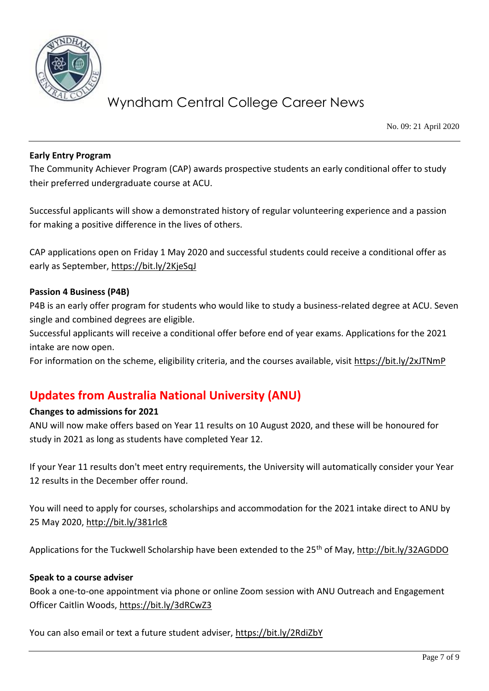

No. 09: 21 April 2020

### **Early Entry Program**

The Community Achiever Program (CAP) awards prospective students an early conditional offer to study their preferred undergraduate course at ACU.

Successful applicants will show a demonstrated history of regular volunteering experience and a passion for making a positive difference in the lives of others.

CAP applications open on Friday 1 May 2020 and successful students could receive a conditional offer as early as September,<https://bit.ly/2KjeSqJ>

### **Passion 4 Business (P4B)**

P4B is an early offer program for students who would like to study a business-related degree at ACU. Seven single and combined degrees are eligible.

Successful applicants will receive a conditional offer before end of year exams. Applications for the 2021 intake are now open.

For information on the scheme, eligibility criteria, and the courses available, visit<https://bit.ly/2xJTNmP>

## **Updates from Australia National University (ANU)**

### **Changes to admissions for 2021**

ANU will now make offers based on Year 11 results on 10 August 2020, and these will be honoured for study in 2021 as long as students have completed Year 12.

If your Year 11 results don't meet entry requirements, the University will automatically consider your Year 12 results in the December offer round.

You will need to apply for courses, scholarships and accommodation for the 2021 intake direct to ANU by 25 May 2020,<http://bit.ly/381rlc8>

Applications for the Tuckwell Scholarship have been extended to the 25<sup>th</sup> of May[, http://bit.ly/32AGDDO](http://bit.ly/32AGDDO)

### **Speak to a course adviser**

Book a one-to-one appointment via phone or online Zoom session with ANU Outreach and Engagement Officer Caitlin Woods,<https://bit.ly/3dRCwZ3>

You can also email or text a future student adviser,<https://bit.ly/2RdiZbY>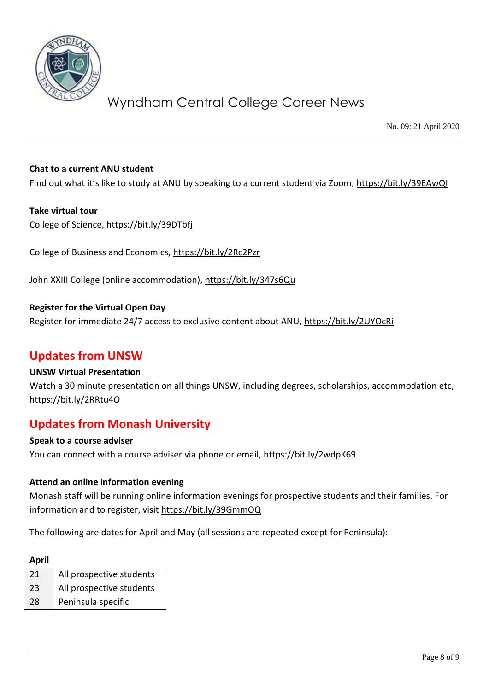

No. 09: 21 April 2020

### **Chat to a current ANU student**

Find out what it's like to study at ANU by speaking to a current student via Zoom, <https://bit.ly/39EAwQI>

### **Take virtual tour**

College of Science,<https://bit.ly/39DTbfj>

College of Business and Economics,<https://bit.ly/2Rc2Pzr>

John XXIII College (online accommodation),<https://bit.ly/347s6Qu>

**Register for the Virtual Open Day** Register for immediate 24/7 access to exclusive content about ANU,<https://bit.ly/2UYOcRi>

### **Updates from UNSW**

### **UNSW Virtual Presentation**

Watch a 30 minute presentation on all things UNSW, including degrees, scholarships, accommodation etc, <https://bit.ly/2RRtu4O>

### **Updates from Monash University**

**Speak to a course adviser** You can connect with a course adviser via phone or email,<https://bit.ly/2wdpK69>

### **Attend an online information evening**

Monash staff will be running online information evenings for prospective students and their families. For information and to register, visit<https://bit.ly/39GmmOQ>

The following are dates for April and May (all sessions are repeated except for Peninsula):

#### **April**

- 21 All prospective students
- 23 All prospective students
- 28 Peninsula specific